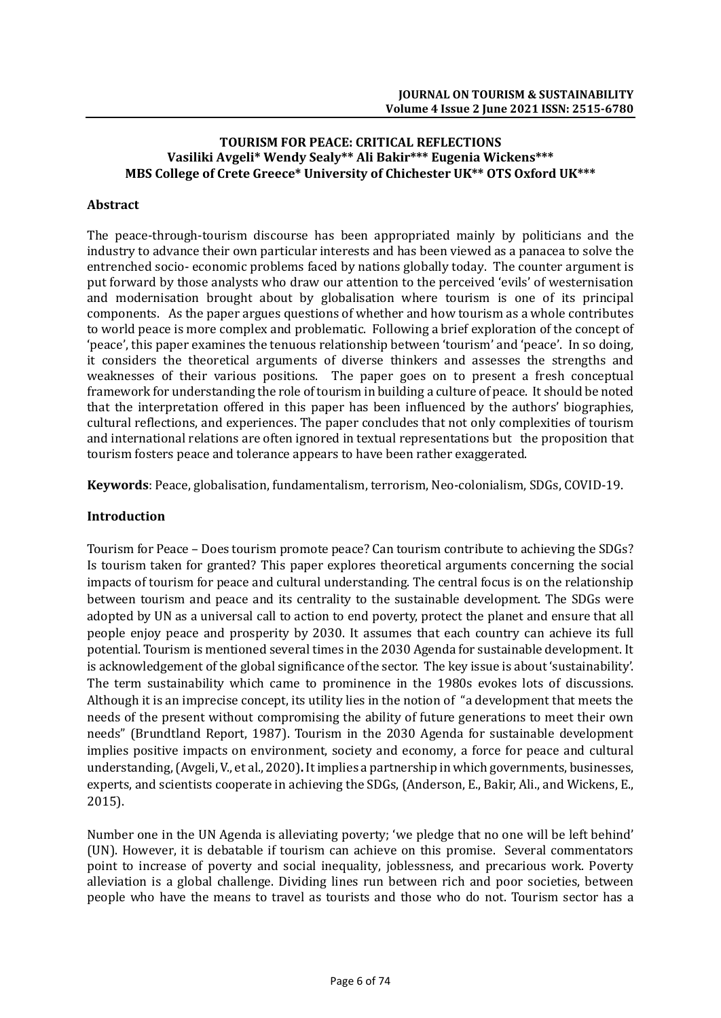# **TOURISM FOR PEACE: CRITICAL REFLECTIONS Vasiliki Avgeli\* Wendy Sealy\*\* Ali Bakir\*\*\* Eugenia Wickens\*\*\* MBS College of Crete Greece\* University of Chichester UK\*\* OTS Oxford UK\*\*\***

# **Abstract**

The peace-through-tourism discourse has been appropriated mainly by politicians and the industry to advance their own particular interests and has been viewed as a panacea to solve the entrenched socio- economic problems faced by nations globally today. The counter argument is put forward by those analysts who draw our attention to the perceived 'evils' of westernisation and modernisation brought about by globalisation where tourism is one of its principal components. As the paper argues questions of whether and how tourism as a whole contributes to world peace is more complex and problematic. Following a brief exploration of the concept of 'peace', this paper examines the tenuous relationship between 'tourism' and 'peace'. In so doing, it considers the theoretical arguments of diverse thinkers and assesses the strengths and weaknesses of their various positions. The paper goes on to present a fresh conceptual framework for understanding the role of tourism in building a culture of peace. It should be noted that the interpretation offered in this paper has been influenced by the authors' biographies, cultural reflections, and experiences. The paper concludes that not only complexities of tourism and international relations are often ignored in textual representations but the proposition that tourism fosters peace and tolerance appears to have been rather exaggerated.

**Keywords**: Peace, globalisation, fundamentalism, terrorism, Neo-colonialism, SDGs, COVID-19.

### **Introduction**

Tourism for Peace – Does tourism promote peace? Can tourism contribute to achieving the SDGs? Is tourism taken for granted? This paper explores theoretical arguments concerning the social impacts of tourism for peace and cultural understanding. The central focus is on the relationship between tourism and peace and its centrality to the sustainable development. The SDGs were adopted by UN as a universal call to action to end poverty, protect the planet and ensure that all people enjoy peace and prosperity by 2030. It assumes that each country can achieve its full potential. Tourism is mentioned several times in the 2030 Agenda for sustainable development. It is acknowledgement of the global significance of the sector. The key issue is about 'sustainability'. The term sustainability which came to prominence in the 1980s evokes lots of discussions. Although it is an imprecise concept, its utility lies in the notion of"a development that meets the needs of the present without compromising the ability of future generations to meet their own needs" (Brundtland Report, 1987). Tourism in the 2030 Agenda for sustainable development implies positive impacts on environment, society and economy, a force for peace and cultural understanding, (Avgeli, V., et al., 2020)**.** It implies a partnership in which governments, businesses, experts, and scientists cooperate in achieving the SDGs, (Anderson, E., Bakir, Ali., and Wickens, E., 2015).

Number one in the UN Agenda is alleviating poverty; 'we pledge that no one will be left behind' (UN). However, it is debatable if tourism can achieve on this promise. Several commentators point to increase of poverty and social inequality, joblessness, and precarious work. Poverty alleviation is a global challenge. Dividing lines run between rich and poor societies, between people who have the means to travel as tourists and those who do not. Tourism sector has a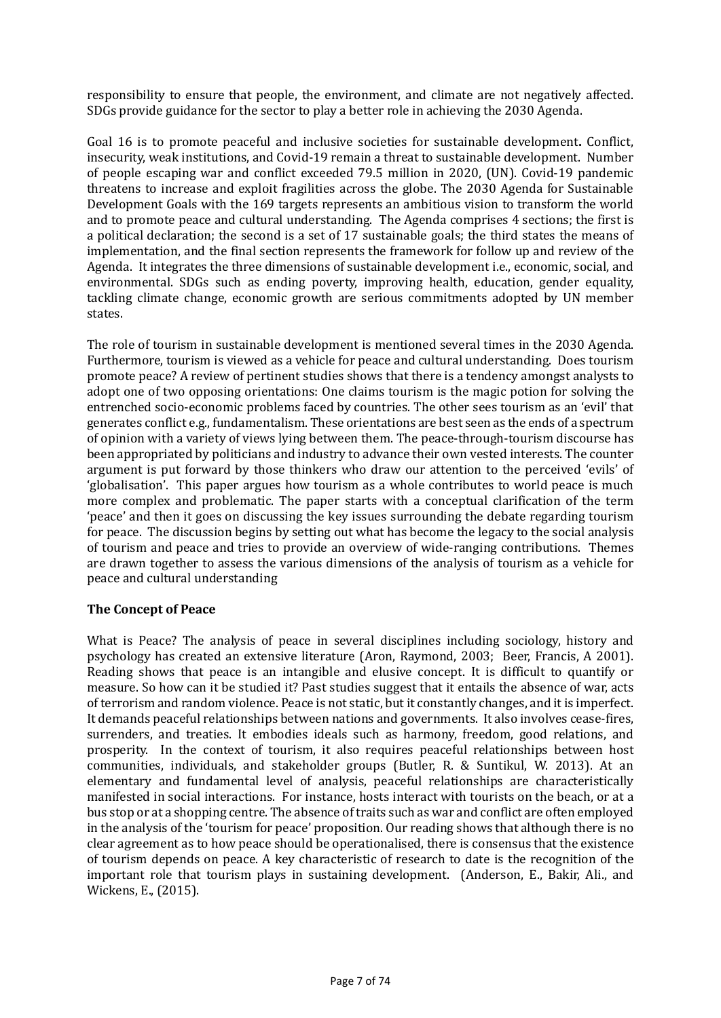responsibility to ensure that people, the environment, and climate are not negatively affected. SDGs provide guidance for the sector to play a better role in achieving the 2030 Agenda.

Goal 16 is to promote peaceful and inclusive societies for sustainable development**.** Conflict, insecurity, weak institutions, and Covid-19 remain a threat to sustainable development. Number of people escaping war and conflict exceeded 79.5 million in 2020, (UN). Covid-19 pandemic threatens to increase and exploit fragilities across the globe. The 2030 Agenda for Sustainable Development Goals with the 169 targets represents an ambitious vision to transform the world and to promote peace and cultural understanding. The Agenda comprises 4 sections; the first is a political declaration; the second is a set of 17 sustainable goals; the third states the means of implementation, and the final section represents the framework for follow up and review of the Agenda. It integrates the three dimensions of sustainable development i.e., economic, social, and environmental. SDGs such as ending poverty, improving health, education, gender equality, tackling climate change, economic growth are serious commitments adopted by UN member states.

The role of tourism in sustainable development is mentioned several times in the 2030 Agenda. Furthermore, tourism is viewed as a vehicle for peace and cultural understanding. Does tourism promote peace? A review of pertinent studies shows that there is a tendency amongst analysts to adopt one of two opposing orientations: One claims tourism is the magic potion for solving the entrenched socio-economic problems faced by countries. The other sees tourism as an 'evil' that generates conflict e.g., fundamentalism. These orientations are best seen as the ends of a spectrum of opinion with a variety of views lying between them. The peace-through-tourism discourse has been appropriated by politicians and industry to advance their own vested interests. The counter argument is put forward by those thinkers who draw our attention to the perceived 'evils' of 'globalisation'. This paper argues how tourism as a whole contributes to world peace is much more complex and problematic. The paper starts with a conceptual clarification of the term 'peace' and then it goes on discussing the key issues surrounding the debate regarding tourism for peace. The discussion begins by setting out what has become the legacy to the social analysis of tourism and peace and tries to provide an overview of wide-ranging contributions. Themes are drawn together to assess the various dimensions of the analysis of tourism as a vehicle for peace and cultural understanding

# **The Concept of Peace**

What is Peace? The analysis of peace in several disciplines including sociology, history and psychology has created an extensive literature (Aron, Raymond, 2003; Beer, Francis, A 2001). Reading shows that peace is an intangible and elusive concept. It is difficult to quantify or measure. So how can it be studied it? Past studies suggest that it entails the absence of war, acts of terrorism and random violence. Peace is not static, but it constantly changes, and it is imperfect. It demands peaceful relationships between nations and governments. It also involves cease-fires, surrenders, and treaties. It embodies ideals such as harmony, freedom, good relations, and prosperity. In the context of tourism, it also requires peaceful relationships between host communities, individuals, and stakeholder groups (Butler, R. & Suntikul, W. 2013). At an elementary and fundamental level of analysis, peaceful relationships are characteristically manifested in social interactions. For instance, hosts interact with tourists on the beach, or at a bus stop or at a shopping centre. The absence of traits such as war and conflict are often employed in the analysis of the 'tourism for peace' proposition. Our reading shows that although there is no clear agreement as to how peace should be operationalised, there is consensus that the existence of tourism depends on peace. A key characteristic of research to date is the recognition of the important role that tourism plays in sustaining development. (Anderson, E., Bakir, Ali., and Wickens, E., (2015).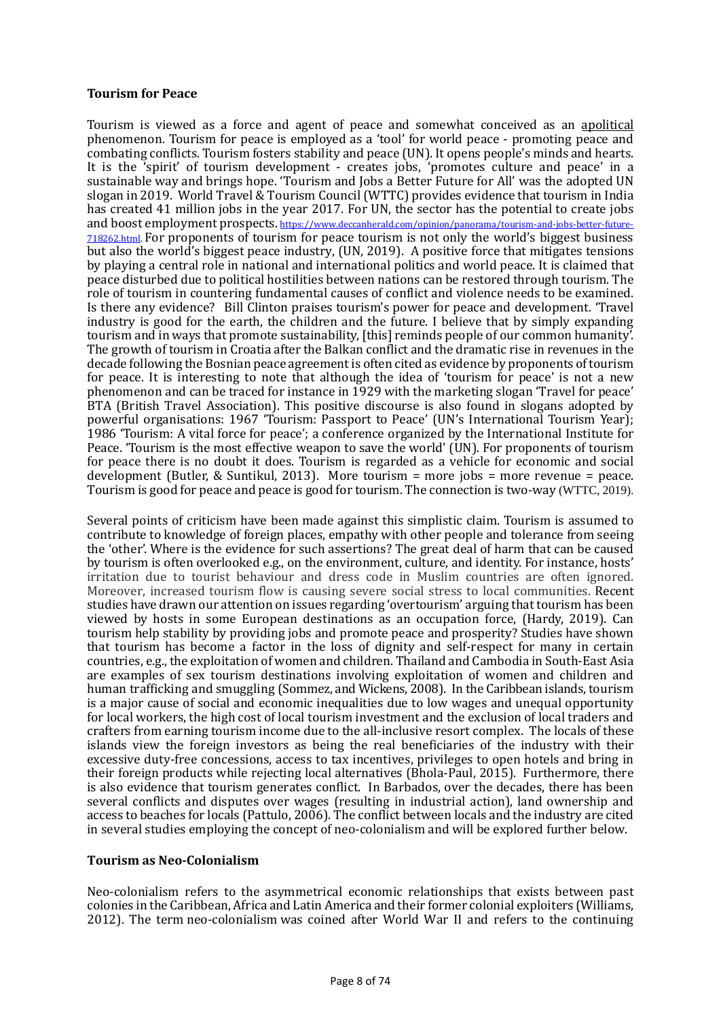### **Tourism for Peace**

Tourism is viewed as a force and agent of peace and somewhat conceived as an apolitical phenomenon. Tourism for peace is employed as a 'tool' for world peace - promoting peace and combating conflicts. Tourism fosters stability and peace (UN). It opens people's minds and hearts. It is the 'spirit' of tourism development - creates jobs, 'promotes culture and peace' in a sustainable way and brings hope. 'Tourism and Jobs a Better Future for All' was the adopted UN slogan in 2019. World Travel & Tourism Council (WTTC) provides evidence that tourism in India has created 41 million jobs in the year 2017. For UN, the sector has the potential to create jobs and boost employment prospects. [https://www.deccanherald.com/opinion/panorama/tourism-and-jobs-better-future-](https://www.deccanherald.com/opinion/panorama/tourism-and-jobs-better-future-718262.html)[718262.html.](https://www.deccanherald.com/opinion/panorama/tourism-and-jobs-better-future-718262.html) For proponents of tourism for peace tourism is not only the world's biggest business but also the world's biggest peace industry, (UN, 2019). A positive force that mitigates tensions by playing a central role in national and international politics and world peace. It is claimed that peace disturbed due to political hostilities between nations can be restored through tourism. The role of tourism in countering fundamental causes of conflict and violence needs to be examined. Is there any evidence? Bill Clinton praises tourism's power for peace and development. 'Travel industry is good for the earth, the children and the future. I believe that by simply expanding tourism and in ways that promote sustainability, [this] reminds people of our common humanity'. The growth of tourism in Croatia after the Balkan conflict and the dramatic rise in revenues in the decade following the Bosnian peace agreement is often cited as evidence by proponents of tourism for peace. It is interesting to note that although the idea of 'tourism for peace' is not a new phenomenon and can be traced for instance in 1929 with the marketing slogan 'Travel for peace' BTA (British Travel Association). This positive discourse is also found in slogans adopted by powerful organisations: 1967 'Tourism: Passport to Peace' (UN's International Tourism Year); 1986 'Tourism: A vital force for peace'; a conference organized by the International Institute for Peace. 'Tourism is the most effective weapon to save the world' (UN). For proponents of tourism for peace there is no doubt it does. Tourism is regarded as a vehicle for economic and social development (Butler, & Suntikul, 2013). More tourism = more jobs = more revenue = peace. Tourism is good for peace and peace is good for tourism. The connection is two-way (WTTC, 2019).

Several points of criticism have been made against this simplistic claim. Tourism is assumed to contribute to knowledge of foreign places, empathy with other people and tolerance from seeing the 'other'. Where is the evidence for such assertions? The great deal of harm that can be caused by tourism is often overlooked e.g., on the environment, culture, and identity. For instance, hosts' irritation due to tourist behaviour and dress code in Muslim countries are often ignored. Moreover, increased tourism flow is causing severe social stress to local communities. Recent studies have drawn our attention on issues regarding 'overtourism' arguing that tourism has been viewed by hosts in some European destinations as an occupation force, (Hardy, 2019). Can tourism help stability by providing jobs and promote peace and prosperity? Studies have shown that tourism has become a factor in the loss of dignity and self-respect for many in certain countries, e.g., the exploitation of women and children. Thailand and Cambodia in South-East Asia are examples of sex tourism destinations involving exploitation of women and children and human trafficking and smuggling (Sommez, and Wickens, 2008). In the Caribbean islands, tourism is a major cause of social and economic inequalities due to low wages and unequal opportunity for local workers, the high cost of local tourism investment and the exclusion of local traders and crafters from earning tourism income due to the all-inclusive resort complex. The locals of these islands view the foreign investors as being the real beneficiaries of the industry with their excessive duty-free concessions, access to tax incentives, privileges to open hotels and bring in their foreign products while rejecting local alternatives (Bhola-Paul, 2015). Furthermore, there is also evidence that tourism generates conflict. In Barbados, over the decades, there has been several conflicts and disputes over wages (resulting in industrial action), land ownership and access to beaches for locals (Pattulo, 2006). The conflict between locals and the industry are cited in several studies employing the concept of neo-colonialism and will be explored further below.

#### **Tourism as Neo-Colonialism**

Neo-colonialism refers to the asymmetrical economic relationships that exists between past colonies in the Caribbean, Africa and Latin America and their former colonial exploiters (Williams, 2012). The term neo-colonialism was coined after World War II and refers to the continuing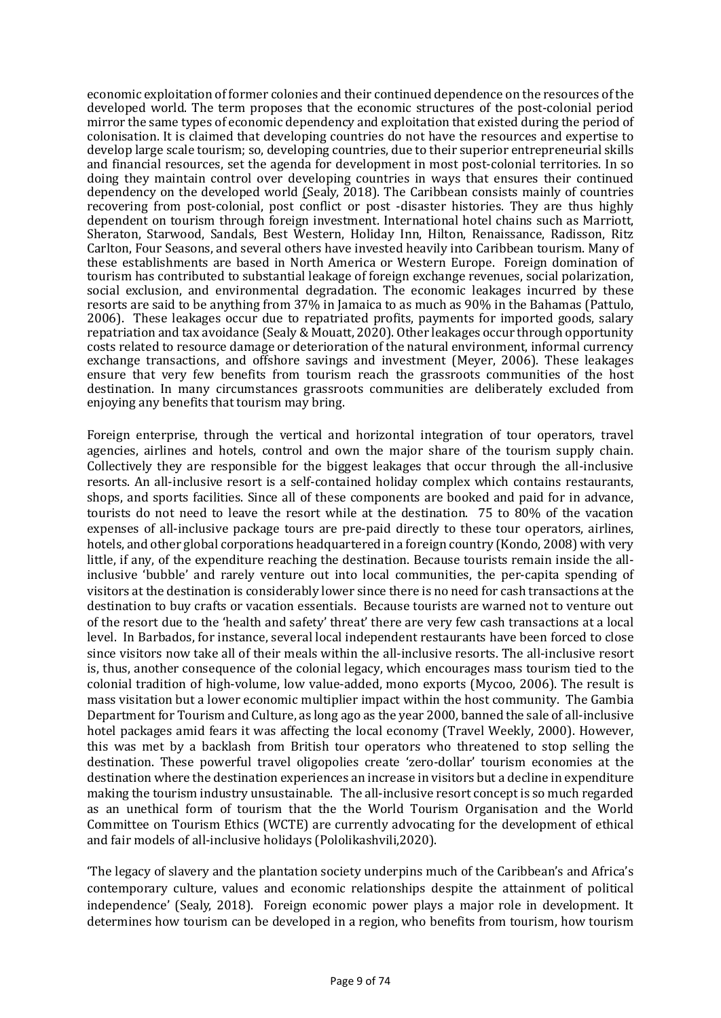economic exploitation of former colonies and their continued dependence on the resources of the developed world. The term proposes that the economic structures of the post-colonial period mirror the same types of economic dependency and exploitation that existed during the period of colonisation. It is claimed that developing countries do not have the resources and expertise to develop large scale tourism; so, developing countries, due to their superior entrepreneurial skills and financial resources, set the agenda for development in most post-colonial territories. In so doing they maintain control over developing countries in ways that ensures their continued dependency on the developed world (Sealy, 2018). The Caribbean consists mainly of countries recovering from post-colonial, post conflict or post -disaster histories. They are thus highly dependent on tourism through foreign investment. International hotel chains such as Marriott, Sheraton, Starwood, Sandals, Best Western, Holiday Inn, Hilton, Renaissance, Radisson, Ritz Carlton, Four Seasons, and several others have invested heavily into Caribbean tourism. Many of these establishments are based in North America or Western Europe. Foreign domination of tourism has contributed to substantial leakage of foreign exchange revenues, social polarization, social exclusion, and environmental degradation. The economic leakages incurred by these resorts are said to be anything from 37% in Jamaica to as much as 90% in the Bahamas (Pattulo, 2006). These leakages occur due to repatriated profits, payments for imported goods, salary repatriation and tax avoidance (Sealy & Mouatt, 2020). Other leakages occur through opportunity costs related to resource damage or deterioration of the natural environment, informal currency exchange transactions, and offshore savings and investment (Meyer, 2006). These leakages ensure that very few benefits from tourism reach the grassroots communities of the host destination. In many circumstances grassroots communities are deliberately excluded from enjoying any benefits that tourism may bring.

Foreign enterprise, through the vertical and horizontal integration of tour operators, travel agencies, airlines and hotels, control and own the major share of the tourism supply chain. Collectively they are responsible for the biggest leakages that occur through the all-inclusive resorts. An all-inclusive resort is a self-contained holiday complex which contains restaurants, shops, and sports facilities. Since all of these components are booked and paid for in advance, tourists do not need to leave the resort while at the destination. 75 to 80% of the vacation expenses of all-inclusive package tours are pre-paid directly to these tour operators, airlines, hotels, and other global corporations headquartered in a foreign country (Kondo, 2008) with very little, if any, of the expenditure reaching the destination. Because tourists remain inside the allinclusive 'bubble' and rarely venture out into local communities, the per-capita spending of visitors at the destination is considerably lower since there is no need for cash transactions at the destination to buy crafts or vacation essentials. Because tourists are warned not to venture out of the resort due to the 'health and safety' threat' there are very few cash transactions at a local level. In Barbados, for instance, several local independent restaurants have been forced to close since visitors now take all of their meals within the all-inclusive resorts. The all-inclusive resort is, thus, another consequence of the colonial legacy, which encourages mass tourism tied to the colonial tradition of high-volume, low value-added, mono exports (Mycoo, 2006). The result is mass visitation but a lower economic multiplier impact within the host community. The Gambia Department for Tourism and Culture, as long ago as the year 2000, banned the sale of all-inclusive hotel packages amid fears it was affecting the local economy (Travel Weekly, 2000). However, this was met by a backlash from British tour operators who threatened to stop selling the destination. These powerful travel oligopolies create 'zero-dollar' tourism economies at the destination where the destination experiences an increase in visitors but a decline in expenditure making the tourism industry unsustainable. The all-inclusive resort concept is so much regarded as an unethical form of tourism that the the World Tourism Organisation and the World Committee on Tourism Ethics (WCTE) are currently advocating for the development of ethical and fair models of all-inclusive holidays (Pololikashvili,2020).

'The legacy of slavery and the plantation society underpins much of the Caribbean's and Africa's contemporary culture, values and economic relationships despite the attainment of political independence' (Sealy, 2018). Foreign economic power plays a major role in development. It determines how tourism can be developed in a region, who benefits from tourism, how tourism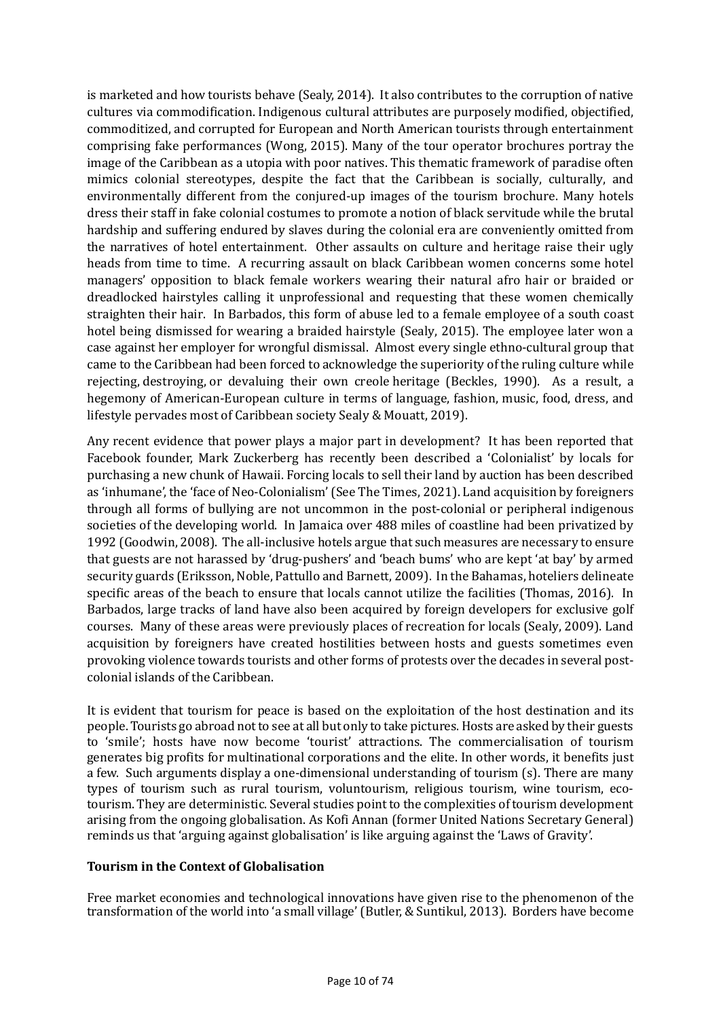is marketed and how tourists behave (Sealy, 2014). It also contributes to the corruption of native cultures via commodification. Indigenous cultural attributes are purposely modified, objectified, commoditized, and corrupted for European and North American tourists through entertainment comprising fake performances (Wong, 2015). Many of the tour operator brochures portray the image of the Caribbean as a utopia with poor natives. This thematic framework of paradise often mimics colonial stereotypes, despite the fact that the Caribbean is socially, culturally, and environmentally different from the conjured-up images of the tourism brochure. Many hotels dress their staff in fake colonial costumes to promote a notion of black servitude while the brutal hardship and suffering endured by slaves during the colonial era are conveniently omitted from the narratives of hotel entertainment. Other assaults on culture and heritage raise their ugly heads from time to time. A recurring assault on black Caribbean women concerns some hotel managers' opposition to black female workers wearing their natural afro hair or braided or dreadlocked hairstyles calling it unprofessional and requesting that these women chemically straighten their hair. In Barbados, this form of abuse led to a female employee of a south coast hotel being dismissed for wearing a braided hairstyle (Sealy, 2015). The employee later won a case against her employer for wrongful dismissal. Almost every single ethno-cultural group that came to the Caribbean had been forced to acknowledge the superiority of the ruling culture while rejecting, destroying, or devaluing their own creole heritage (Beckles, 1990). As a result, a hegemony of American-European culture in terms of language, fashion, music, food, dress, and lifestyle pervades most of Caribbean society Sealy & Mouatt, 2019).

Any recent evidence that power plays a major part in development? It has been reported that Facebook founder, Mark Zuckerberg has recently been described a 'Colonialist' by locals for purchasing a new chunk of Hawaii. Forcing locals to sell their land by auction has been described as 'inhumane', the 'face of Neo-Colonialism' (See The Times, 2021). Land acquisition by foreigners through all forms of bullying are not uncommon in the post-colonial or peripheral indigenous societies of the developing world. In Jamaica over 488 miles of coastline had been privatized by 1992 (Goodwin, 2008). The all-inclusive hotels argue that such measures are necessary to ensure that guests are not harassed by 'drug-pushers' and 'beach bums' who are kept 'at bay' by armed security guards (Eriksson, Noble, Pattullo and Barnett, 2009). In the Bahamas, hoteliers delineate specific areas of the beach to ensure that locals cannot utilize the facilities (Thomas, 2016). In Barbados, large tracks of land have also been acquired by foreign developers for exclusive golf courses. Many of these areas were previously places of recreation for locals (Sealy, 2009). Land acquisition by foreigners have created hostilities between hosts and guests sometimes even provoking violence towards tourists and other forms of protests over the decades in several postcolonial islands of the Caribbean.

It is evident that tourism for peace is based on the exploitation of the host destination and its people. Tourists go abroad not to see at all but only to take pictures. Hosts are asked by their guests to 'smile'; hosts have now become 'tourist' attractions. The commercialisation of tourism generates big profits for multinational corporations and the elite. In other words, it benefits just a few. Such arguments display a one-dimensional understanding of tourism (s). There are many types of tourism such as rural tourism, voluntourism, religious tourism, wine tourism, ecotourism. They are deterministic. Several studies point to the complexities of tourism development arising from the ongoing globalisation. As Kofi Annan (former United Nations Secretary General) reminds us that 'arguing against globalisation' is like arguing against the 'Laws of Gravity'.

# **Tourism in the Context of Globalisation**

Free market economies and technological innovations have given rise to the phenomenon of the transformation of the world into 'a small village' (Butler, & Suntikul, 2013). Borders have become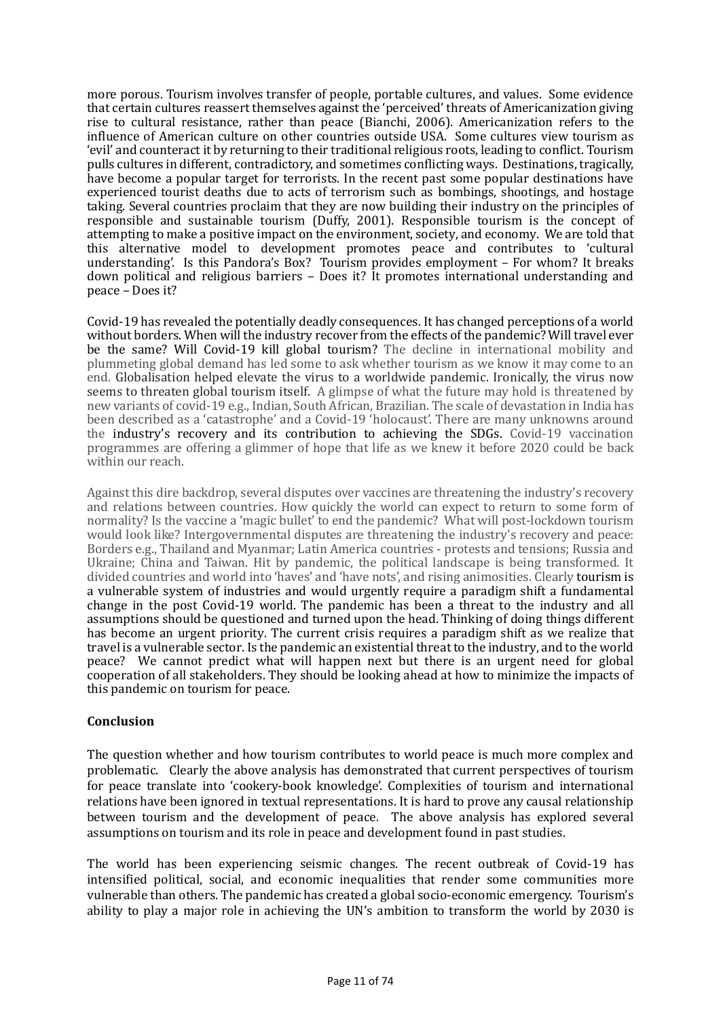more porous. Tourism involves transfer of people, portable cultures, and values. Some evidence that certain cultures reassert themselves against the 'perceived' threats of Americanization giving rise to cultural resistance, rather than peace (Bianchi, 2006). Americanization refers to the influence of American culture on other countries outside USA. Some cultures view tourism as 'evil' and counteract it by returning to their traditional religious roots, leading to conflict. Tourism pulls cultures in different, contradictory, and sometimes conflicting ways. Destinations, tragically, have become a popular target for terrorists. In the recent past some popular destinations have experienced tourist deaths due to acts of terrorism such as bombings, shootings, and hostage taking. Several countries proclaim that they are now building their industry on the principles of responsible and sustainable tourism (Duffy, 2001). Responsible tourism is the concept of attempting to make a positive impact on the environment, society, and economy. We are told that this alternative model to development promotes peace and contributes to 'cultural understanding'. Is this Pandora's Box? Tourism provides employment – For whom? It breaks down political and religious barriers – Does it? It promotes international understanding and peace – Does it?

Covid-19 has revealed the potentially deadly consequences. It has changed perceptions of a world without borders. When will the industry recover from the effects of the pandemic? Will travel ever be the same? Will Covid-19 kill global tourism? The decline in international mobility and plummeting global demand has led some to ask whether tourism as we know it may come to an end. Globalisation helped elevate the virus to a worldwide pandemic. Ironically, the virus now seems to threaten global tourism itself. A glimpse of what the future may hold is threatened by new variants of covid-19 e.g., Indian, South African, Brazilian. The scale of devastation in India has been described as a 'catastrophe' and a Covid-19 'holocaust'. There are many unknowns around the industry's recovery and its contribution to achieving the SDGs. Covid-19 vaccination programmes are offering a glimmer of hope that life as we knew it before 2020 could be back within our reach.

Against this dire backdrop, several disputes over vaccines are threatening the industry's recovery and relations between countries. How quickly the world can expect to return to some form of normality? Is the vaccine a 'magic bullet' to end the pandemic? What will post-lockdown tourism would look like? Intergovernmental disputes are threatening the industry's recovery and peace: Borders e.g., Thailand and Myanmar; Latin America countries - protests and tensions; Russia and Ukraine; China and Taiwan. Hit by pandemic, the political landscape is being transformed. It divided countries and world into 'haves' and 'have nots', and rising animosities. Clearly tourism is a vulnerable system of industries and would urgently require a paradigm shift a fundamental change in the post Covid-19 world. The pandemic has been a threat to the industry and all assumptions should be questioned and turned upon the head. Thinking of doing things different has become an urgent priority. The current crisis requires a paradigm shift as we realize that travel is a vulnerable sector. Is the pandemic an existential threat to the industry, and to the world peace? We cannot predict what will happen next but there is an urgent need for global cooperation of all stakeholders. They should be looking ahead at how to minimize the impacts of this pandemic on tourism for peace.

# **Conclusion**

The question whether and how tourism contributes to world peace is much more complex and problematic. Clearly the above analysis has demonstrated that current perspectives of tourism for peace translate into 'cookery-book knowledge'. Complexities of tourism and international relations have been ignored in textual representations. It is hard to prove any causal relationship between tourism and the development of peace. The above analysis has explored several assumptions on tourism and its role in peace and development found in past studies.

The world has been experiencing seismic changes. The recent outbreak of Covid-19 has intensified political, social, and economic inequalities that render some communities more vulnerable than others. The pandemic has created a global socio-economic emergency. Tourism's ability to play a major role in achieving the UN's ambition to transform the world by 2030 is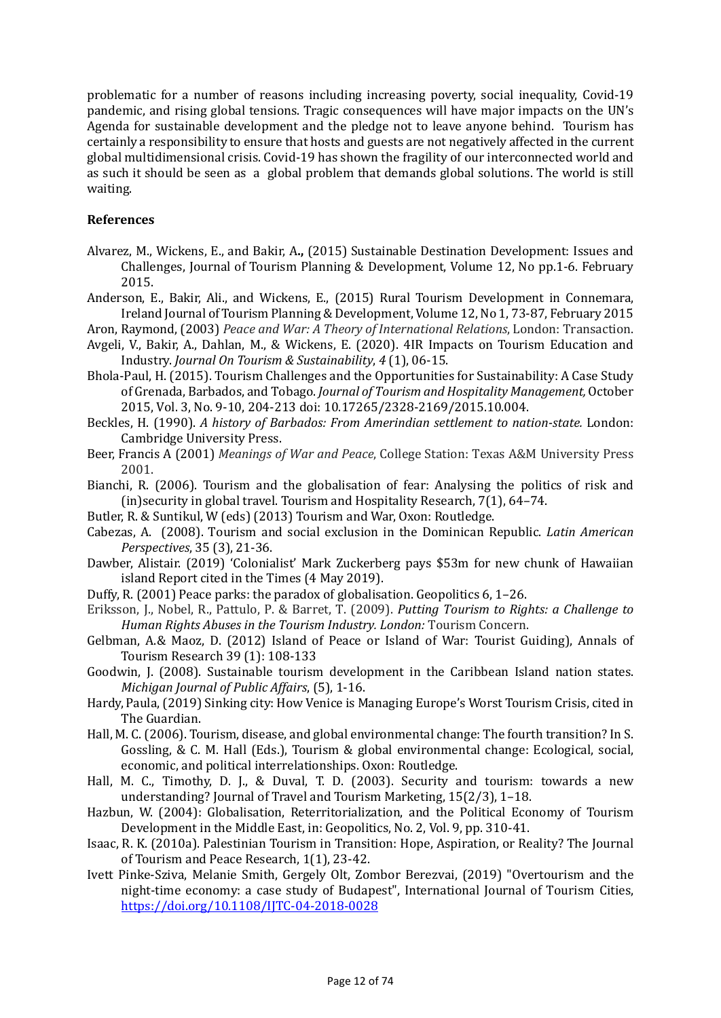problematic for a number of reasons including increasing poverty, social inequality, Covid-19 pandemic, and rising global tensions. Tragic consequences will have major impacts on the UN's Agenda for sustainable development and the pledge not to leave anyone behind. Tourism has certainly a responsibility to ensure that hosts and guests are not negatively affected in the current global multidimensional crisis. Covid-19 has shown the fragility of our interconnected world and as such it should be seen as a global problem that demands global solutions. The world is still waiting.

### **References**

- Alvarez, M., Wickens, E., and Bakir, A**.,** (2015) Sustainable Destination Development: Issues and Challenges, Journal of Tourism Planning & Development, Volume 12, No pp.1-6. February 2015.
- Anderson, E., Bakir, Ali., and Wickens, E., (2015) Rural Tourism Development in Connemara, Ireland Journal of Tourism Planning & Development, Volume 12, No 1, 73-87, February 2015
- Aron, Raymond, (2003) *Peace and War: A Theory of International Relations*, London: Transaction. Avgeli, V., Bakir, A., Dahlan, M., & Wickens, E. (2020). 4IR Impacts on Tourism Education and

Industry. *Journal On Tourism & Sustainability*, *4* (1), 06-15.

- Bhola-Paul, H. (2015). Tourism Challenges and the Opportunities for Sustainability: A Case Study of Grenada, Barbados, and Tobago. *Journal of Tourism and Hospitality Management,* October 2015, Vol. 3, No. 9-10, 204-213 doi: 10.17265/2328-2169/2015.10.004.
- Beckles, H. (1990). *A history of Barbados: From Amerindian settlement to nation-state.* London: Cambridge University Press.
- Beer, Francis A (2001) *Meanings of War and Peace*, College Station: Texas A&M University Press 2001.
- Bianchi, R. (2006). Tourism and the globalisation of fear: Analysing the politics of risk and (in)security in global travel. Tourism and Hospitality Research, 7(1), 64–74.
- Butler, R. & Suntikul, W (eds) (2013) Tourism and War, Oxon: Routledge.
- Cabezas, A. (2008). Tourism and social exclusion in the Dominican Republic. *Latin American Perspectives*, 35 (3), 21-36.
- Dawber, Alistair. (2019) 'Colonialist' Mark Zuckerberg pays \$53m for new chunk of Hawaiian island Report cited in the Times (4 May 2019).
- Duffy, R. (2001) Peace parks: the paradox of globalisation. Geopolitics 6, 1–26.
- Eriksson, J., Nobel, R., Pattulo, P. & Barret, T. (2009). *Putting Tourism to Rights: a Challenge to Human Rights Abuses in the Tourism Industry. London:* Tourism Concern.
- Gelbman, A.& Maoz, D. (2012) Island of Peace or Island of War: Tourist Guiding), Annals of Tourism Research 39 (1): 108-133
- Goodwin, J. (2008). Sustainable tourism development in the Caribbean Island nation states. *Michigan Journal of Public Affairs*, (5), 1-16.
- Hardy, Paula, (2019) Sinking city: How Venice is Managing Europe's Worst Tourism Crisis, cited in The Guardian.
- Hall, M. C. (2006). Tourism, disease, and global environmental change: The fourth transition? In S. Gossling, & C. M. Hall (Eds.), Tourism & global environmental change: Ecological, social, economic, and political interrelationships. Oxon: Routledge.
- Hall, M. C., Timothy, D. J., & Duval, T. D. (2003). Security and tourism: towards a new understanding? Journal of Travel and Tourism Marketing, 15(2/3), 1–18.
- Hazbun, W. (2004): Globalisation, Reterritorialization, and the Political Economy of Tourism Development in the Middle East, in: Geopolitics, No. 2, Vol. 9, pp. 310-41.
- Isaac, R. K. (2010a). Palestinian Tourism in Transition: Hope, Aspiration, or Reality? The Journal of Tourism and Peace Research, 1(1), 23-42.
- Ivett Pinke-Sziva, Melanie Smith, Gergely Olt, Zombor Berezvai, (2019) "Overtourism and the night-time economy: a case study of Budapest", International Journal of Tourism Cities, <https://doi.org/10.1108/IJTC-04-2018-0028>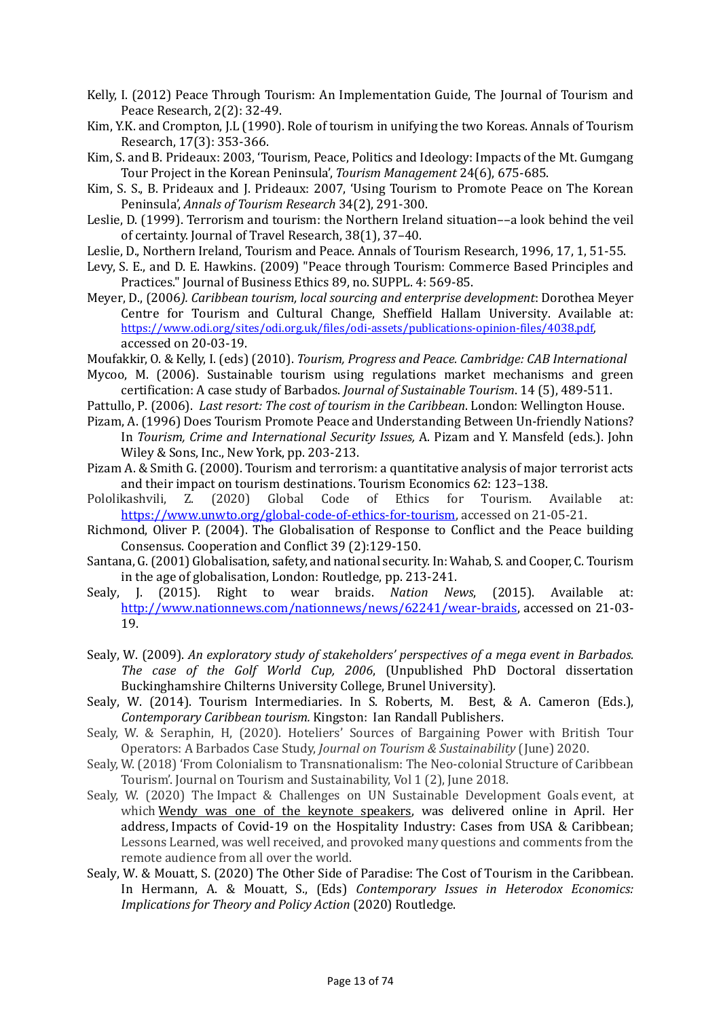- Kelly, I. (2012) Peace Through Tourism: An Implementation Guide, The Journal of Tourism and Peace Research, 2(2): 32-49.
- Kim, Y.K. and Crompton, J.L (1990). Role of tourism in unifying the two Koreas. Annals of Tourism Research, 17(3): 353-366.
- Kim, S. and B. Prideaux: 2003, 'Tourism, Peace, Politics and Ideology: Impacts of the Mt. Gumgang Tour Project in the Korean Peninsula', *Tourism Management* 24(6), 675-685.
- Kim, S. S., B. Prideaux and J. Prideaux: 2007, 'Using Tourism to Promote Peace on The Korean Peninsula', *Annals of Tourism Research* 34(2), 291-300.
- Leslie, D. (1999). Terrorism and tourism: the Northern Ireland situation––a look behind the veil of certainty. Journal of Travel Research, 38(1), 37–40.
- Leslie, D., Northern Ireland, Tourism and Peace. Annals of Tourism Research, 1996, 17, 1, 51-55.
- Levy, S. E., and D. E. Hawkins. (2009) "Peace through Tourism: Commerce Based Principles and Practices." Journal of Business Ethics 89, no. SUPPL. 4: 569-85.
- Meyer, D., (2006*). Caribbean tourism, local sourcing and enterprise development*: Dorothea Meyer Centre for Tourism and Cultural Change, Sheffield Hallam University. Available at: [https://www.odi.org/sites/odi.org.uk/files/odi-assets/publications-opinion-files/4038.pdf,](https://www.odi.org/sites/odi.org.uk/files/odi-assets/publications-opinion-files/4038.pdf) accessed on 20-03-19.
- Moufakkir, O. & Kelly, I. (eds) (2010). *Tourism, Progress and Peace. Cambridge: CAB International*
- Mycoo, M. (2006). Sustainable tourism using regulations market mechanisms and green certification: A case study of Barbados. *Journal of Sustainable Tourism*. 14 (5), 489-511.
- Pattullo, P. (2006). *Last resort: The cost of tourism in the Caribbean*. London: Wellington House.
- Pizam, A. (1996) Does Tourism Promote Peace and Understanding Between Un-friendly Nations? In *Tourism, Crime and International Security Issues,* A. Pizam and Y. Mansfeld (eds.). John Wiley & Sons, Inc., New York, pp. 203-213.
- Pizam A. & Smith G. (2000). Tourism and terrorism: a quantitative analysis of major terrorist acts and their impact on tourism destinations. Tourism Economics 62: 123–138.<br>Pololikashvili, Z. (2020) Global Code of Ethics for Tourism. Available
- Global Code of Ethics for Tourism. Available at: [https://www.unwto.org/global-code-of-ethics-for-tourism,](https://www.unwto.org/global-code-of-ethics-for-tourism) accessed on 21-05-21.
- Richmond, Oliver P. (2004). The Globalisation of Response to Conflict and the Peace building Consensus. Cooperation and Conflict 39 (2):129-150.
- Santana, G. (2001) Globalisation, safety, and national security. In: Wahab, S. and Cooper, C. Tourism in the age of globalisation, London: Routledge, pp. 213-241.<br>Sealy, J. (2015). Right to wear braids. Nation Ne
- Right to wear braids. *Nation News*, (2015). Available at: [http://www.nationnews.com/nationnews/news/62241/wear-braids,](http://www.nationnews.com/nationnews/news/62241/wear-braids) accessed on 21-03- 19.
- Sealy, W. (2009). *An exploratory study of stakeholders' perspectives of a mega event in Barbados. The case of the Golf World Cup, 2006*, (Unpublished PhD Doctoral dissertation Buckinghamshire Chilterns University College, Brunel University).
- Sealy, W. (2014). Tourism Intermediaries. In S. Roberts, M. Best, & A. Cameron (Eds.), *Contemporary Caribbean tourism.* Kingston: Ian Randall Publishers.
- Sealy, W. & Seraphin, H, (2020). Hoteliers' Sources of Bargaining Power with British Tour Operators: A Barbados Case Study, *Journal on Tourism & Sustainability* (June) 2020.
- Sealy, W. (2018) 'From Colonialism to Transnationalism: The Neo-colonial Structure of Caribbean Tourism'. Journal on Tourism and Sustainability, Vol 1 (2), June 2018.
- Sealy, W. (2020) The Impact & Challenges on UN Sustainable Development Goals event, at which [Wendy was one of the keynote speakers,](https://www.youtube.com/watch?v=CcdndqsuqKQ) was delivered online in April. Her address, Impacts of Covid-19 on the Hospitality Industry: Cases from USA & Caribbean; Lessons Learned, was well received, and provoked many questions and comments from the remote audience from all over the world.
- Sealy, W. & Mouatt, S. (2020) The Other Side of Paradise: The Cost of Tourism in the Caribbean. In Hermann, A. & Mouatt, S., (Eds) *Contemporary Issues in Heterodox Economics: Implications for Theory and Policy Action* (2020) Routledge.